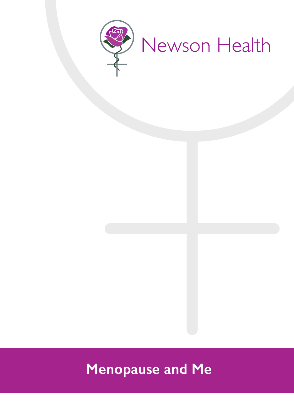

# **Menopause and Me**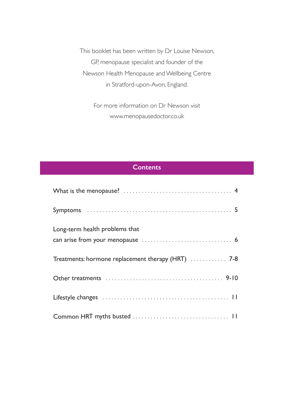This booklet has been written by Dr Louise Newson, GP, menopause specialist and founder of the Newson Health Menopause and Wellbeing Centre in Stratford-upon-Avon, England.

> For more information on Dr Newson visit www.menopausedoctor.co.uk

# **Contents**

| Long-term health problems that                     |
|----------------------------------------------------|
|                                                    |
| Treatments: hormone replacement therapy (HRT)  7-8 |
|                                                    |
|                                                    |
|                                                    |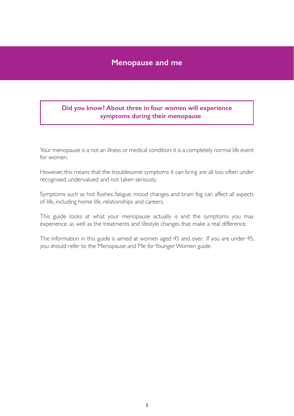# **Menopause and me**

# **Did you know? About three in four women will experience symptoms during their menopause**

Your menopause is a not an illness or medical condition: it is a completely normal life event for women.

However, this means that the troublesome symptoms it can bring are all too often under recognised, undervalued and not taken seriously.

Symptoms such as hot flushes, fatigue, mood changes and brain fog can affect all aspects of life, including home life, relationships and careers.

This guide looks at what your menopause actually is and the symptoms you may experience, as well as the treatments and lifestyle changes that make a real difference.

The information in this guide is aimed at women aged 45 and over. If you are under 45, you should refer to the Menopause and Me for Younger Women guide.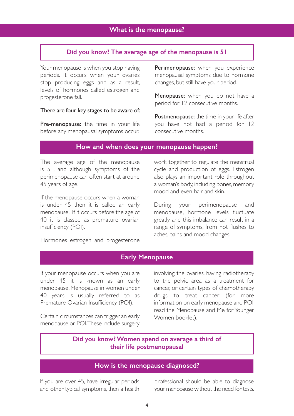#### **Did you know? The average age of the menopause is 51**

Your menopause is when you stop having periods. It occurs when your ovaries stop producing eggs and as a result, levels of hormones called estrogen and progesterone fall.

#### There are four key stages to be aware of:

Pre-menopause: the time in your life before any menopausal symptoms occur. Perimenopause: when you experience menopausal symptoms due to hormone changes, but still have your period.

Menopause: when you do not have a period for 12 consecutive months.

Postmenopause: the time in your life after you have not had a period for 12 consecutive months.

# **How and when does your menopause happen?**

The average age of the menopause is 51, and although symptoms of the perimenopause can often start at around 45 years of age.

If the menopause occurs when a woman is under 45 then it is called an early menopause. If it occurs before the age of 40 it is classed as premature ovarian insufficiency (POI).

Hormones estrogen and progesterone

work together to regulate the menstrual cycle and production of eggs. Estrogen also plays an important role throughout a woman's body, including bones, memory, mood and even hair and skin.

During your perimenopause and menopause, hormone levels fluctuate greatly and this imbalance can result in a range of symptoms, from hot flushes to aches, pains and mood changes.

# **Early Menopause**

If your menopause occurs when you are under 45 it is known as an early menopause. Menopause in women under 40 years is usually referred to as Premature Ovarian Insufficiency (POI).

Certain circumstances can trigger an early menopause or POI. These include surgery involving the ovaries, having radiotherapy to the pelvic area as a treatment for cancer, or certain types of chemotherapy drugs to treat cancer (for more information on early menopause and POI, read the Menopause and Me for Younger Women booklet).

# **Did you know? Women spend on average a third of their life postmenopausal**

# **How is the menopause diagnosed?**

If you are over 45, have irregular periods and other typical symptoms, then a health professional should be able to diagnose your menopause without the need for tests.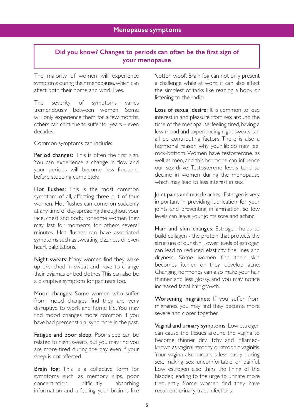# **Did you know? Changes to periods can often be the first sign of your menopause**

The majority of women will experience symptoms during their menopause, which can affect both their home and work lives.

The severity of symptoms varies tremendously between women. Some will only experience them for a few months, others can continue to suffer for years – even decades.

Common symptoms can include:

Period changes: This is often the first sign. You can experience a change in flow and your periods will become less frequent, before stopping completely.

Hot flushes: This is the most common symptom of all, affecting three out of four women. Hot flushes can come on suddenly at any time of day, spreading throughout your face, chest and body. For some women they may last for moments, for others several minutes. Hot flushes can have associated symptoms such as sweating, dizziness or even heart palpitations.

Night sweats: Many women find they wake up drenched in sweat and have to change their pyjamas or bed clothes. This can also be a disruptive symptom for partners too.

Mood changes: Some women who suffer from mood changes find they are very disruptive to work and home life. You may find mood changes more common if you have had premenstrual syndrome in the past.

Fatigue and poor sleep: Poor sleep can be related to night sweats, but you may find you are more tired during the day even if your sleep is not affected.

Brain fog: This is a collective term for symptoms such as memory slips, poor concentration, difficultly absorbing information and a feeling your brain is like 'cotton wool'. Brain fog can not only present a challenge while at work, it can also affect the simplest of tasks like reading a book or listening to the radio.

Loss of sexual desire: It is common to lose interest in and pleasure from sex around the time of the menopause; feeling tired, having a low mood and experiencing night sweats can all be contributing factors. There is also a hormonal reason why your libido may feel rock-bottom. Women have testosterone, as well as men, and this hormone can influence our sex-drive. Testosterone levels tend to decline in women during the menopause which may lead to less interest in sex.

Joint pains and muscle aches: Estrogen is very important in providing lubrication for your joints and preventing inflammation, so low levels can leave your joints sore and aching.

Hair and skin changes: Estrogen helps to build collagen - the protein that protects the structure of our skin. Lower levels of estrogen can lead to reduced elasticity, fine lines and dryness. Some women find their skin becomes itchier, or they develop acne. Changing hormones can also make your hair thinner and less glossy, and you may notice increased facial hair growth.

Worsening migraines: If you suffer from migraines, you may find they become more severe and closer together.

Vaginal and urinary symptoms: Low estrogen can cause the tissues around the vagina to become thinner, dry, itchy and inflamedknown as vaginal atrophy or atrophic vaginitis. Your vagina also expands less easily during sex, making sex uncomfortable or painful. Low estrogen also thins the lining of the bladder, leading to the urge to urinate more frequently. Some women find they have recurrent urinary tract infections.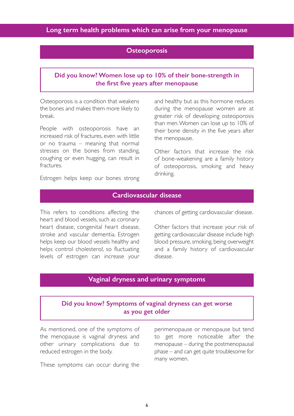## **Osteoporosis**

# **Did you know? Women lose up to 10% of their bone-strength in the first five years after menopause**

Osteoporosis is a condition that weakens the bones and makes them more likely to break.

People with osteoporosis have an increased risk of fractures, even with little or no trauma – meaning that normal stresses on the bones from standing, coughing or even hugging, can result in fractures.

and healthy but as this hormone reduces during the menopause women are at greater risk of developing osteoporosis than men. Women can lose up to 10% of their bone density in the five years after the menopause.

Other factors that increase the risk of bone-weakening are a family history of osteoporosis, smoking and heavy drinking.

Estrogen helps keep our bones strong

# **Cardiovascular disease**

This refers to conditions affecting the heart and blood vessels, such as coronary heart disease, congenital heart disease, stroke and vascular dementia. Estrogen helps keep our blood vessels healthy and helps control cholesterol, so fluctuating levels of estrogen can increase your

chances of getting cardiovascular disease.

Other factors that increase your risk of getting cardiovascular disease include high blood pressure, smoking, being overweight and a family history of cardiovascular disease.

# **Vaginal dryness and urinary symptoms**

# **Did you know? Symptoms of vaginal dryness can get worse as you get older**

As mentioned, one of the symptoms of the menopause is vaginal dryness and other urinary complications due to reduced estrogen in the body.

These symptoms can occur during the

perimenopause or menopause but tend to get more noticeable after the menopause – during the postmenopausal phase – and can get quite troublesome for many women.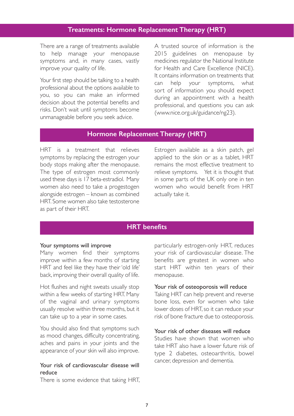# **Treatments: Hormone Replacement Therapy (HRT)**

There are a range of treatments available to help manage your menopause symptoms and, in many cases, vastly improve your quality of life.

Your first step should be talking to a health professional about the options available to you, so you can make an informed decision about the potential benefits and risks. Don't wait until symptoms become unmanageable before you seek advice.

A trusted source of information is the 2015 guidelines on menopause by medicines regulator the National Institute for Health and Care Excellence (NICE). It contains information on treatments that can help your symptoms, what sort of information you should expect during an appointment with a health professional, and questions you can ask (www.nice.org.uk/guidance/ng23).

# **Hormone Replacement Therapy (HRT)**

HRT is a treatment that relieves symptoms by replacing the estrogen your body stops making after the menopause. The type of estrogen most commonly used these days is 17 beta-estradiol. Many women also need to take a progestogen alongside estrogen – known as combined HRT. Some women also take testosterone as part of their HRT.

Estrogen available as a skin patch, gel applied to the skin or as a tablet, HRT remains the most effective treatment to relieve symptoms. Yet it is thought that in some parts of the UK only one in ten women who would benefit from HRT actually take it.

# **HRT benefits**

#### Your symptoms will improve

Many women find their symptoms improve within a few months of starting HRT and feel like they have their 'old life' back, improving their overall quality of life.

Hot flushes and night sweats usually stop within a few weeks of starting HRT. Many of the vaginal and urinary symptoms usually resolve within three months, but it can take up to a year in some cases.

You should also find that symptoms such as mood changes, difficulty concentrating, aches and pains in your joints and the appearance of your skin will also improve.

## Your risk of cardiovascular disease will reduce

There is some evidence that taking HRT,

particularly estrogen-only HRT, reduces your risk of cardiovascular disease. The benefits are greatest in women who start HRT within ten years of their menopause.

#### Your risk of osteoporosis will reduce

Taking HRT can help prevent and reverse bone loss, even for women who take lower doses of HRT, so it can reduce your risk of bone fracture due to osteoporosis.

#### Your risk of other diseases will reduce

Studies have shown that women who take HRT also have a lower future risk of type 2 diabetes, osteoarthritis, bowel cancer, depression and dementia.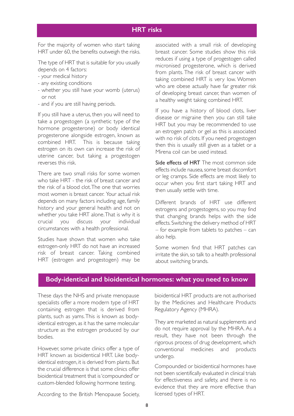## **HRT risks**

For the majority of women who start taking HRT under 60, the benefits outweigh the risks.

The type of HRT that is suitable for you usually depends on 4 factors:

- your medical history
- any existing conditions
- whether you still have your womb (uterus) or not
- and if you are still having periods.

If you still have a uterus, then you will need to take a progestogen (a synthetic type of the hormone progesterone) or body identical progesterone alongside estrogen, known as combined HRT. This is because taking estrogen on its own can increase the risk of uterine cancer, but taking a progestogen reverses this risk.

There are two small risks for some women who take HRT - the risk of breast cancer and the risk of a blood clot. The one that worries most women is breast cancer. Your actual risk depends on many factors including age, family history and your general health and not on whether you take HRT alone. That is why it is crucial you discuss your individual circumstances with a health professional.

Studies have shown that women who take estrogen-only HRT do not have an increased risk of breast cancer. Taking combined HRT (estrogen and progestogen) may be

associated with a small risk of developing breast cancer. Some studies show this risk reduces if using a type of progestogen called micronised progesterone, which is derived from plants. The risk of breast cancer with taking combined HRT is very low. Women who are obese actually have far greater risk of developing breast cancer, than women of a healthy weight taking combined HRT.

If you have a history of blood clots, liver disease or migraine then you can still take HRT but you may be recommended to use an estrogen patch or gel as this is associated with no risk of clots. If you need progestogen then this is usually still given as a tablet or a Mirena coil can be used instead.

Side effects of HRT The most common side effects include nausea, some breast discomfort or leg cramps. Side effects are most likely to occur when you first start taking HRT and then usually settle with time.

Different brands of HRT use different estrogens and progestogens, so you may find that changing brands helps with the side effects. Switching the delivery method of HRT – for example from tablets to patches – can also help.

Some women find that HRT patches can irritate the skin, so talk to a health professional about switching brands.

# **Body-identical and bioidentical hormones: what you need to know**

These days the NHS and private menopause specialists offer a more modern type of HRT containing estrogen that is derived from plants, such as yams. This is known as bodyidentical estrogen, as it has the same molecular structure as the estrogen produced by our bodies.

However, some private clinics offer a type of HRT known as bioidentical HRT. Like bodyidentical estrogen, it is derived from plants. But the crucial difference is that some clinics offer bioidentical treatment that is 'compounded' or custom-blended following hormone testing.

According to the British Menopause Society,

bioidentical HRT products are not authorised by the Medicines and Healthcare Products Regulatory Agency (MHRA).

They are marketed as natural supplements and do not require approval by the MHRA. As a result, they have not been through the rigorous process of drug development, which conventional medicines and products undergo.

Compounded or bioidentical hormones have not been scientifically evaluated in clinical trials for effectiveness and safety, and there is no evidence that they are more effective than licensed types of HRT.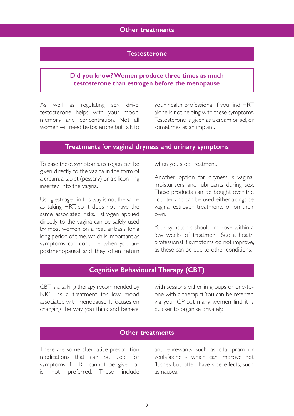## **Other treatments**

## **Testosterone**

# **Did you know? Women produce three times as much testosterone than estrogen before the menopause**

As well as regulating sex drive, testosterone helps with your mood, memory and concentration. Not all women will need testosterone but talk to

your health professional if you find HRT alone is not helping with these symptoms. Testosterone is given as a cream or gel, or sometimes as an implant.

## **Treatments for vaginal dryness and urinary symptoms**

To ease these symptoms, estrogen can be given directly to the vagina in the form of a cream, a tablet (pessary) or a silicon ring inserted into the vagina.

Using estrogen in this way is not the same as taking HRT, so it does not have the same associated risks. Estrogen applied directly to the vagina can be safely used by most women on a regular basis for a long period of time, which is important as symptoms can continue when you are postmenopausal and they often return when you stop treatment.

Another option for dryness is vaginal moisturisers and lubricants during sex. These products can be bought over the counter and can be used either alongside vaginal estrogen treatments or on their own.

Your symptoms should improve within a few weeks of treatment. See a health professional if symptoms do not improve, as these can be due to other conditions.

## **Cognitive Behavioural Therapy (CBT)**

CBT is a talking therapy recommended by NICE as a treatment for low mood associated with menopause. It focuses on changing the way you think and behave, with sessions either in groups or one-toone with a therapist. You can be referred via your GP, but many women find it is quicker to organise privately.

## **Other treatments**

There are some alternative prescription medications that can be used for symptoms if HRT cannot be given or is not preferred. These include

antidepressants such as citalopram or venlafaxine - which can improve hot flushes but often have side effects, such as nausea.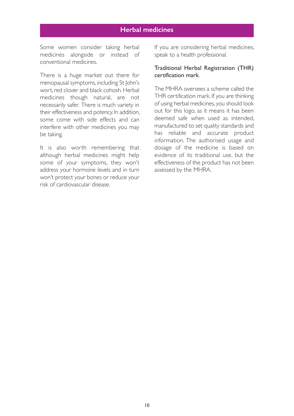# **Herbal medicines**

Some women consider taking herbal medicines alongside or instead of conventional medicines.

There is a huge market out there for menopausal symptoms, including St John's wort, red clover and black cohosh. Herbal medicines though natural, are not necessarily safer. There is much variety in their effectiveness and potency. In addition, some come with side effects and can interfere with other medicines you may be taking.

It is also worth remembering that although herbal medicines might help some of your symptoms, they won't address your hormone levels and in turn won't protect your bones or reduce your risk of cardiovascular disease.

If you are considering herbal medicines, speak to a health professional.

#### Traditional Herbal Registration (THR) certification mark.

The MHRA oversees a scheme called the THR certification mark. If you are thinking of using herbal medicines, you should look out for this logo, as it means it has been deemed safe when used as intended, manufactured to set quality standards and has reliable and accurate product information. The authorised usage and dosage of the medicine is based on evidence of its traditional use, but the effectiveness of the product has not been assessed by the MHRA.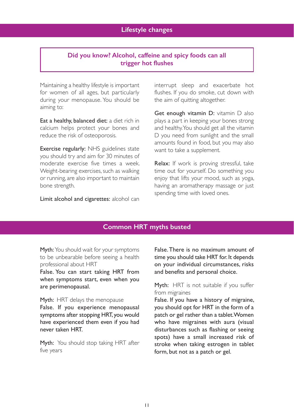# **Did you know? Alcohol, caffeine and spicy foods can all trigger hot flushes**

Maintaining a healthy lifestyle is important for women of all ages, but particularly during your menopause. You should be aiming to:

Eat a healthy, balanced diet: a diet rich in calcium helps protect your bones and reduce the risk of osteoporosis.

Exercise regularly: NHS guidelines state you should try and aim for 30 minutes of moderate exercise five times a week. Weight-bearing exercises, such as walking or running, are also important to maintain bone strength.

Limit alcohol and cigarettes: alcohol can

interrupt sleep and exacerbate hot flushes. If you do smoke, cut down with the aim of quitting altogether.

Get enough vitamin D: vitamin D also plays a part in keeping your bones strong and healthy. You should get all the vitamin D you need from sunlight and the small amounts found in food, but you may also want to take a supplement.

Relax: If work is proving stressful, take time out for yourself. Do something you enjoy that lifts your mood, such as yoga, having an aromatherapy massage or just spending time with loved ones.

# **Common HRT myths busted**

Myth: You should wait for your symptoms to be unbearable before seeing a health professional about HRT

False. You can start taking HRT from when symptoms start, even when you are perimenopausal.

Myth: HRT delays the menopause

False. If you experience menopausal symptoms after stopping HRT, you would have experienced them even if you had never taken HRT.

Myth: You should stop taking HRT after five years

False. There is no maximum amount of time you should take HRT for. It depends on your individual circumstances, risks and benefits and personal choice.

Myth: HRT is not suitable if you suffer from migraines

False. If you have a history of migraine, you should opt for HRT in the form of a patch or gel rather than a tablet. Women who have migraines with aura (visual disturbances such as flashing or seeing spots) have a small increased risk of stroke when taking estrogen in tablet form, but not as a patch or gel.